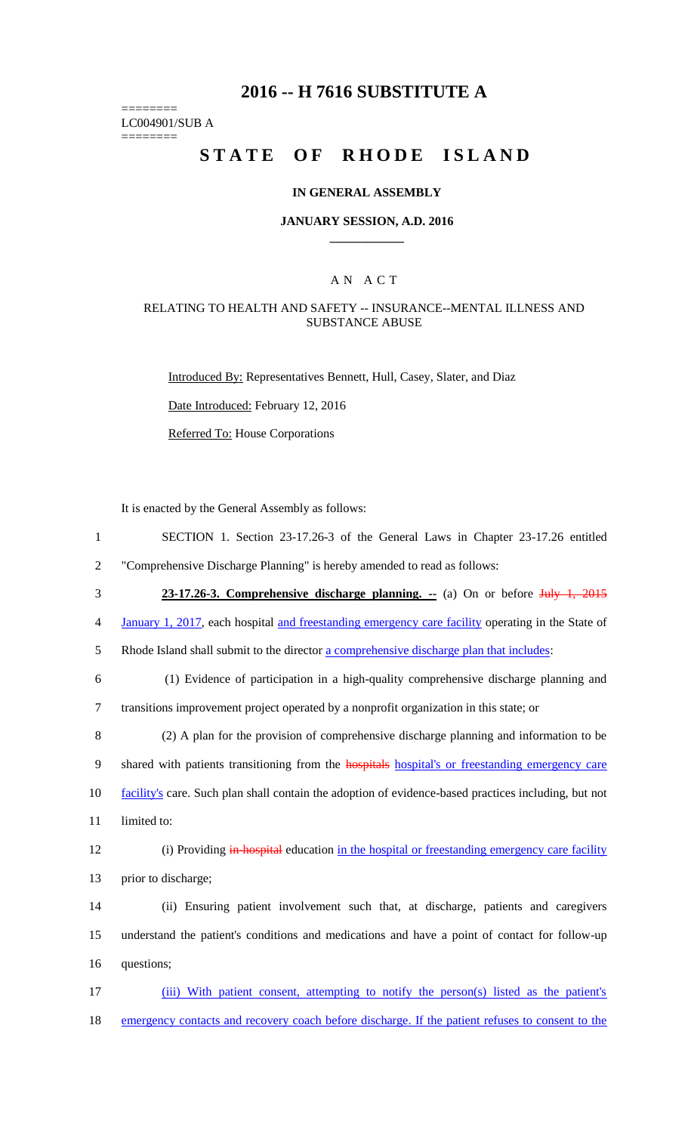## **2016 -- H 7616 SUBSTITUTE A**

LC004901/SUB A ========

========

# **STATE OF RHODE ISLAND**

#### **IN GENERAL ASSEMBLY**

#### **JANUARY SESSION, A.D. 2016 \_\_\_\_\_\_\_\_\_\_\_\_**

## A N A C T

## RELATING TO HEALTH AND SAFETY -- INSURANCE--MENTAL ILLNESS AND SUBSTANCE ABUSE

Introduced By: Representatives Bennett, Hull, Casey, Slater, and Diaz

Date Introduced: February 12, 2016

Referred To: House Corporations

It is enacted by the General Assembly as follows:

| $\mathbf{1}$   | SECTION 1. Section 23-17.26-3 of the General Laws in Chapter 23-17.26 entitled                         |
|----------------|--------------------------------------------------------------------------------------------------------|
| $\overline{2}$ | "Comprehensive Discharge Planning" is hereby amended to read as follows:                               |
| 3              | 23-17.26-3. Comprehensive discharge planning. $\div$ (a) On or before July 1, 2015                     |
| $\overline{4}$ | January 1, 2017, each hospital and freestanding emergency care facility operating in the State of      |
| 5              | Rhode Island shall submit to the director a comprehensive discharge plan that includes:                |
| 6              | (1) Evidence of participation in a high-quality comprehensive discharge planning and                   |
| $\tau$         | transitions improvement project operated by a nonprofit organization in this state; or                 |
| 8              | (2) A plan for the provision of comprehensive discharge planning and information to be                 |
| 9              | shared with patients transitioning from the <b>hospitals</b> hospital's or freestanding emergency care |
| 10             | facility's care. Such plan shall contain the adoption of evidence-based practices including, but not   |
| 11             | limited to:                                                                                            |
| 12             | (i) Providing in hospital education in the hospital or freestanding emergency care facility            |
| 13             | prior to discharge;                                                                                    |
| 14             | (ii) Ensuring patient involvement such that, at discharge, patients and caregivers                     |
| 15             | understand the patient's conditions and medications and have a point of contact for follow-up          |
| 16             | questions;                                                                                             |
| 17             | (iii) With patient consent, attempting to notify the person(s) listed as the patient's                 |

18 emergency contacts and recovery coach before discharge. If the patient refuses to consent to the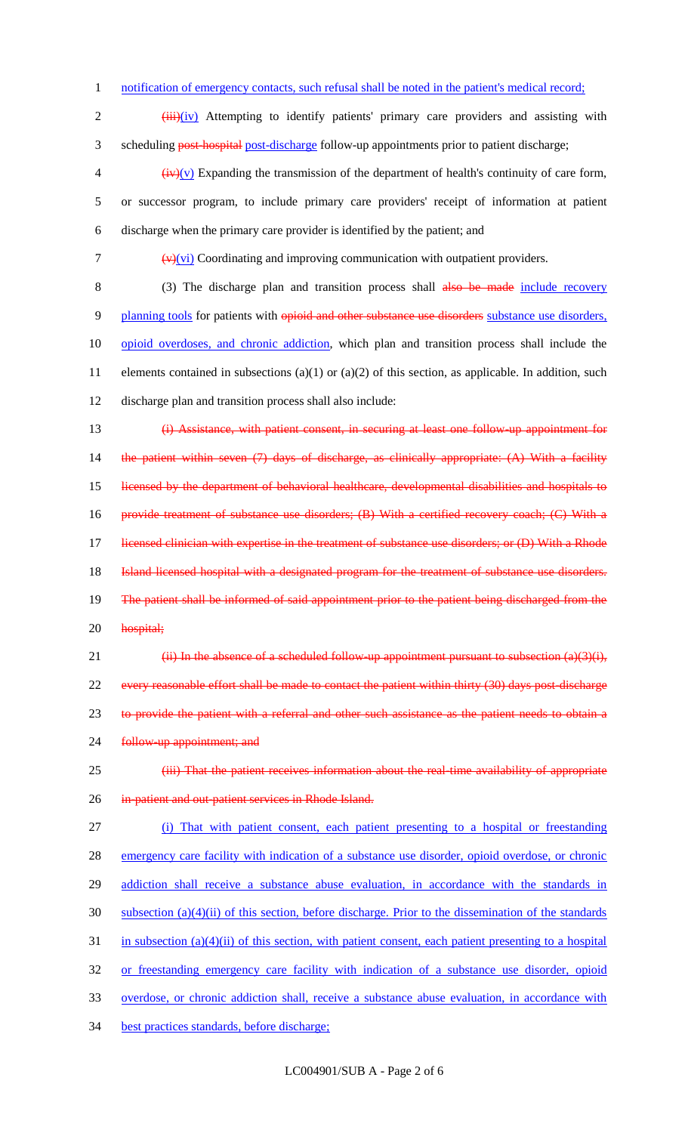1 notification of emergency contacts, such refusal shall be noted in the patient's medical record;

2 (iii)(iv) Attempting to identify patients' primary care providers and assisting with 3 scheduling post-hospital post-discharge follow-up appointments prior to patient discharge;

 $\frac{1}{2}$  (iv)(v) Expanding the transmission of the department of health's continuity of care form, 5 or successor program, to include primary care providers' receipt of information at patient 6 discharge when the primary care provider is identified by the patient; and

7  $(v)(vi)$  Coordinating and improving communication with outpatient providers.

8 (3) The discharge plan and transition process shall also be made include recovery 9 planning tools for patients with opioid and other substance use disorders substance use disorders, 10 opioid overdoses, and chronic addiction, which plan and transition process shall include the 11 elements contained in subsections (a)(1) or (a)(2) of this section, as applicable. In addition, such 12 discharge plan and transition process shall also include:

13 (i) Assistance, with patient consent, in securing at least one follow-up appointment for 14 the patient within seven (7) days of discharge, as clinically appropriate: (A) With a facility 15 licensed by the department of behavioral healthcare, developmental disabilities and hospitals to 16 provide treatment of substance use disorders; (B) With a certified recovery coach; (C) With a 17 licensed clinician with expertise in the treatment of substance use disorders; or (D) With a Rhode 18 Island licensed hospital with a designated program for the treatment of substance use disorders. 19 The patient shall be informed of said appointment prior to the patient being discharged from the 20 hospital;

21 (ii) In the absence of a scheduled follow-up appointment pursuant to subsection  $(a)(3)(i)$ , 22 every reasonable effort shall be made to contact the patient within thirty (30) days post-discharge 23 to provide the patient with a referral and other such assistance as the patient needs to obtain a 24 follow-up appointment; and

25 **(iii) That the patient receives information about the real-time availability of appropriate** 26 in-patient and out-patient services in Rhode Island.

 (i) That with patient consent, each patient presenting to a hospital or freestanding emergency care facility with indication of a substance use disorder, opioid overdose, or chronic 29 addiction shall receive a substance abuse evaluation, in accordance with the standards in subsection (a)(4)(ii) of this section, before discharge. Prior to the dissemination of the standards in subsection (a)(4)(ii) of this section, with patient consent, each patient presenting to a hospital or freestanding emergency care facility with indication of a substance use disorder, opioid overdose, or chronic addiction shall, receive a substance abuse evaluation, in accordance with best practices standards, before discharge;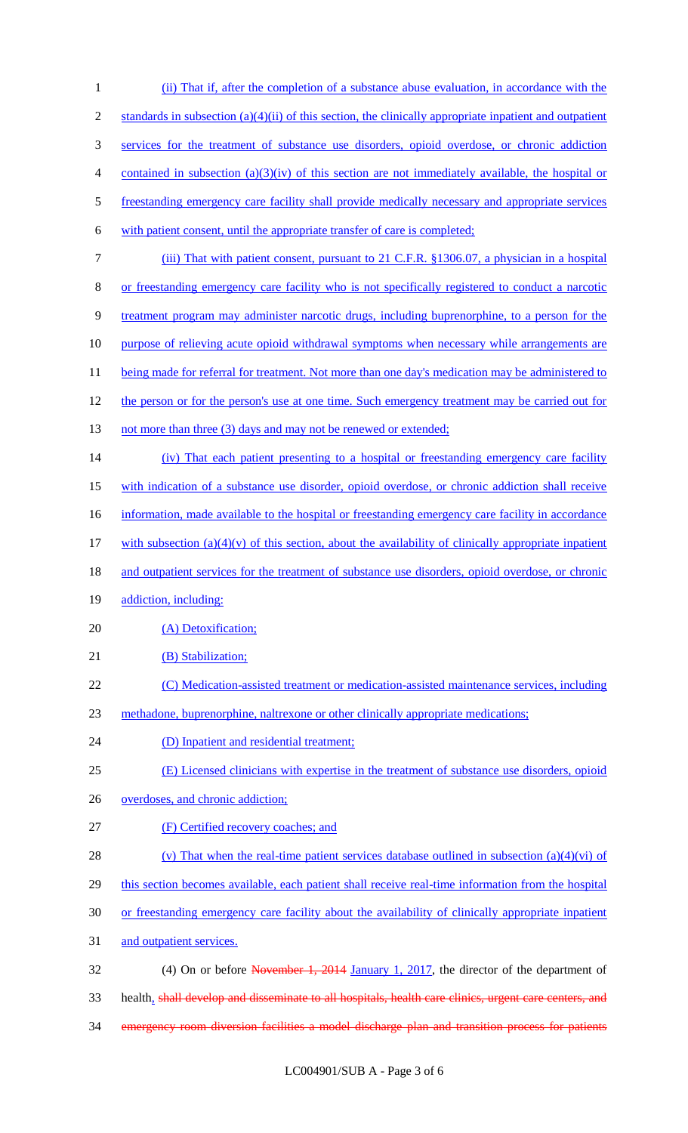| $\mathbf{1}$ | (ii) That if, after the completion of a substance abuse evaluation, in accordance with the                |
|--------------|-----------------------------------------------------------------------------------------------------------|
| 2            | standards in subsection $(a)(4)(ii)$ of this section, the clinically appropriate inpatient and outpatient |
| 3            | services for the treatment of substance use disorders, opioid overdose, or chronic addiction              |
| 4            | contained in subsection $(a)(3)(iv)$ of this section are not immediately available, the hospital or       |
| 5            | freestanding emergency care facility shall provide medically necessary and appropriate services           |
| 6            | with patient consent, until the appropriate transfer of care is completed;                                |
| 7            | (iii) That with patient consent, pursuant to 21 C.F.R. §1306.07, a physician in a hospital                |
| 8            | or freestanding emergency care facility who is not specifically registered to conduct a narcotic          |
| 9            | treatment program may administer narcotic drugs, including buprenorphine, to a person for the             |
| 10           | purpose of relieving acute opioid withdrawal symptoms when necessary while arrangements are               |
| 11           | being made for referral for treatment. Not more than one day's medication may be administered to          |
| 12           | the person or for the person's use at one time. Such emergency treatment may be carried out for           |
| 13           | not more than three (3) days and may not be renewed or extended;                                          |
| 14           | (iv) That each patient presenting to a hospital or freestanding emergency care facility                   |
| 15           | with indication of a substance use disorder, opioid overdose, or chronic addiction shall receive          |
| 16           | information, made available to the hospital or freestanding emergency care facility in accordance         |
| 17           | with subsection $(a)(4)(v)$ of this section, about the availability of clinically appropriate inpatient   |
| 18           | and outpatient services for the treatment of substance use disorders, opioid overdose, or chronic         |
| 19           | addiction, including:                                                                                     |
| 20           | (A) Detoxification;                                                                                       |
| 21           | (B) Stabilization;                                                                                        |
| 22           | (C) Medication-assisted treatment or medication-assisted maintenance services, including                  |
| 23           | methadone, buprenorphine, naltrexone or other clinically appropriate medications;                         |
| 24           | (D) Inpatient and residential treatment;                                                                  |
| 25           | (E) Licensed clinicians with expertise in the treatment of substance use disorders, opioid                |
| 26           | overdoses, and chronic addiction;                                                                         |
| 27           | (F) Certified recovery coaches; and                                                                       |
| 28           | (v) That when the real-time patient services database outlined in subsection $(a)(4)(vi)$ of              |
| 29           | this section becomes available, each patient shall receive real-time information from the hospital        |
| 30           | or freestanding emergency care facility about the availability of clinically appropriate inpatient        |
| 31           | and outpatient services.                                                                                  |
| 32           | (4) On or before November 1, 2014 January 1, 2017, the director of the department of                      |
| 33           | health, shall develop and disseminate to all hospitals, health care clinics, urgent care centers, and     |

emergency room diversion facilities a model discharge plan and transition process for patients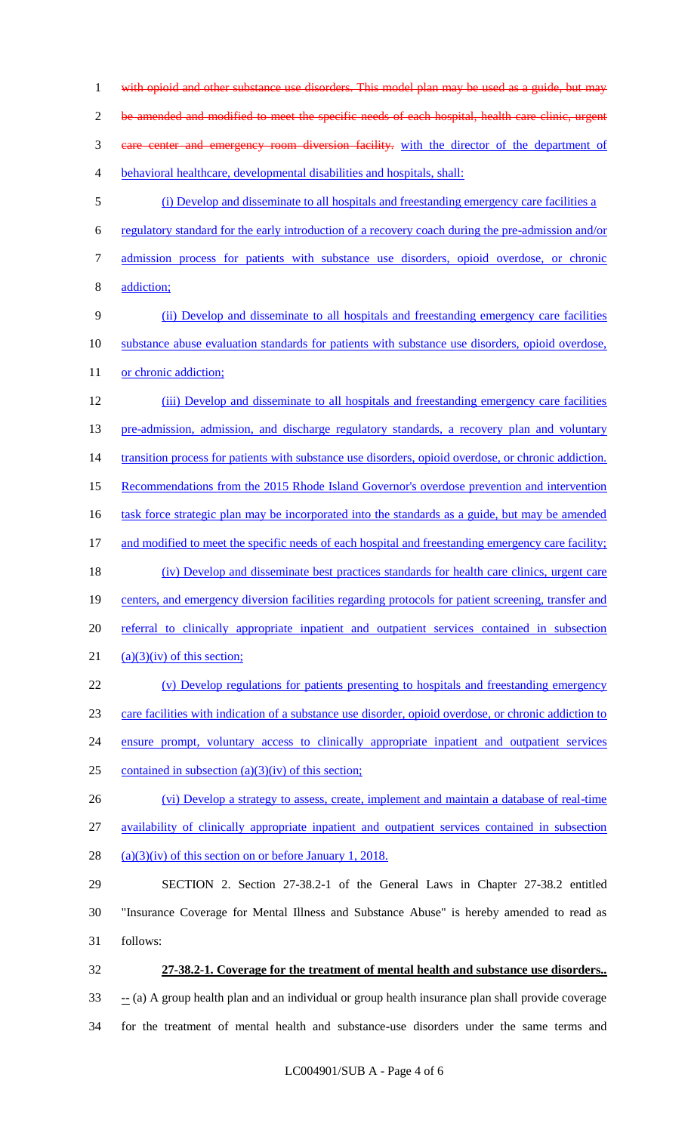1 with opioid and other substance use disorders. This model plan may be used as a guide, but may 2 be amended and modified to meet the specific needs of each hospital, health care clinic, urgent care center and emergency room diversion facility. with the director of the department of behavioral healthcare, developmental disabilities and hospitals, shall: (i) Develop and disseminate to all hospitals and freestanding emergency care facilities a regulatory standard for the early introduction of a recovery coach during the pre-admission and/or admission process for patients with substance use disorders, opioid overdose, or chronic addiction; (ii) Develop and disseminate to all hospitals and freestanding emergency care facilities substance abuse evaluation standards for patients with substance use disorders, opioid overdose, 11 or chronic addiction; (iii) Develop and disseminate to all hospitals and freestanding emergency care facilities 13 pre-admission, admission, and discharge regulatory standards, a recovery plan and voluntary 14 transition process for patients with substance use disorders, opioid overdose, or chronic addiction. Recommendations from the 2015 Rhode Island Governor's overdose prevention and intervention 16 task force strategic plan may be incorporated into the standards as a guide, but may be amended 17 and modified to meet the specific needs of each hospital and freestanding emergency care facility; (iv) Develop and disseminate best practices standards for health care clinics, urgent care 19 centers, and emergency diversion facilities regarding protocols for patient screening, transfer and 20 referral to clinically appropriate inpatient and outpatient services contained in subsection 21 (a)(3)(iv) of this section; (v) Develop regulations for patients presenting to hospitals and freestanding emergency care facilities with indication of a substance use disorder, opioid overdose, or chronic addiction to 24 ensure prompt, voluntary access to clinically appropriate inpatient and outpatient services 25 contained in subsection  $(a)(3)(iv)$  of this section; (vi) Develop a strategy to assess, create, implement and maintain a database of real-time availability of clinically appropriate inpatient and outpatient services contained in subsection  $(a)(3)(iv)$  of this section on or before January 1, 2018. SECTION 2. Section 27-38.2-1 of the General Laws in Chapter 27-38.2 entitled "Insurance Coverage for Mental Illness and Substance Abuse" is hereby amended to read as 31 follows: **27-38.2-1. Coverage for the treatment of mental health and substance use disorders.. --** (a) A group health plan and an individual or group health insurance plan shall provide coverage for the treatment of mental health and substance-use disorders under the same terms and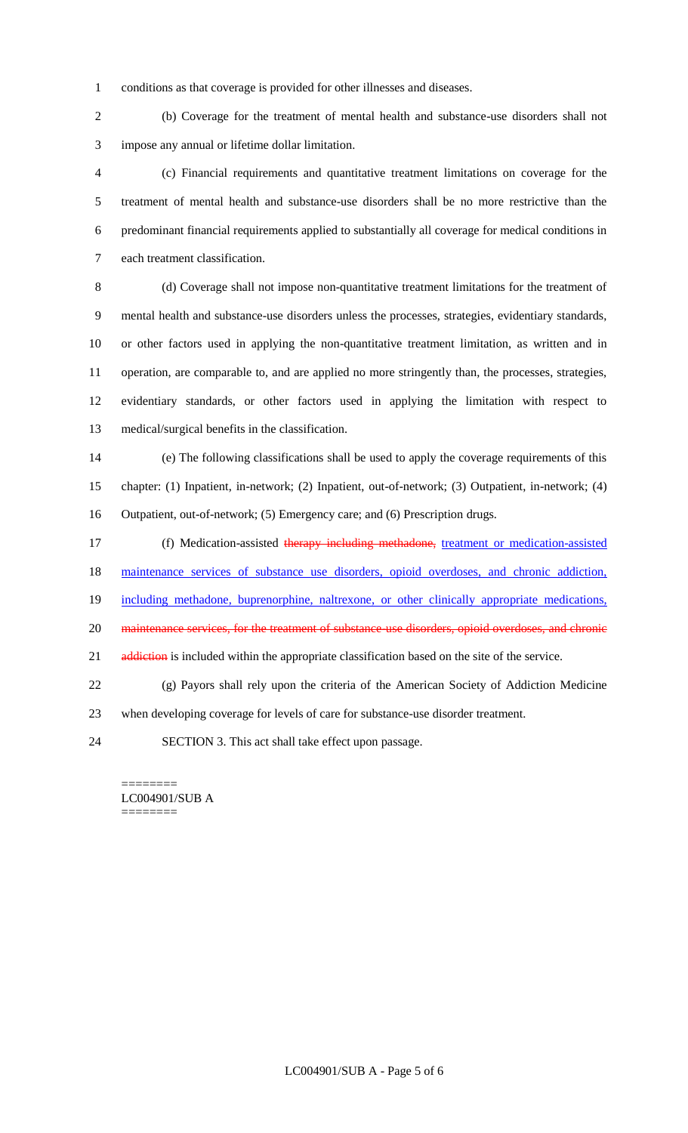conditions as that coverage is provided for other illnesses and diseases.

 (b) Coverage for the treatment of mental health and substance-use disorders shall not impose any annual or lifetime dollar limitation.

 (c) Financial requirements and quantitative treatment limitations on coverage for the treatment of mental health and substance-use disorders shall be no more restrictive than the predominant financial requirements applied to substantially all coverage for medical conditions in each treatment classification.

 (d) Coverage shall not impose non-quantitative treatment limitations for the treatment of mental health and substance-use disorders unless the processes, strategies, evidentiary standards, or other factors used in applying the non-quantitative treatment limitation, as written and in operation, are comparable to, and are applied no more stringently than, the processes, strategies, evidentiary standards, or other factors used in applying the limitation with respect to medical/surgical benefits in the classification.

 (e) The following classifications shall be used to apply the coverage requirements of this chapter: (1) Inpatient, in-network; (2) Inpatient, out-of-network; (3) Outpatient, in-network; (4) Outpatient, out-of-network; (5) Emergency care; and (6) Prescription drugs.

17 (f) Medication-assisted therapy including methadone, treatment or medication-assisted

18 maintenance services of substance use disorders, opioid overdoses, and chronic addiction,

including methadone, buprenorphine, naltrexone, or other clinically appropriate medications,

20 maintenance services, for the treatment of substance-use disorders, opioid overdoses, and chronic

21 addiction is included within the appropriate classification based on the site of the service.

 (g) Payors shall rely upon the criteria of the American Society of Addiction Medicine when developing coverage for levels of care for substance-use disorder treatment.

SECTION 3. This act shall take effect upon passage.

======== LC004901/SUB A ========